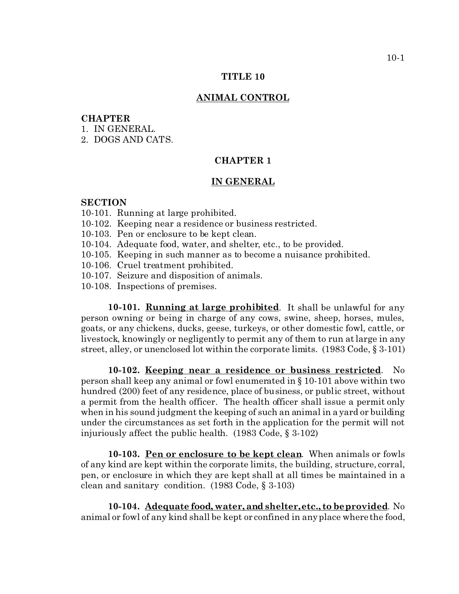#### **TITLE 10**

### **ANIMAL CONTROL**

### **CHAPTER**

- 1. IN GENERAL.
- 2. DOGS AND CATS.

# **CHAPTER 1**

## **IN GENERAL**

### **SECTION**

- 10-101. Running at large prohibited.
- 10-102. Keeping near a residence or business restricted.
- 10-103. Pen or enclosure to be kept clean.
- 10-104. Adequate food, water, and shelter, etc., to be provided.
- 10-105. Keeping in such manner as to become a nuisance prohibited.
- 10-106. Cruel treatment prohibited.
- 10-107. Seizure and disposition of animals.
- 10-108. Inspections of premises.

**10-101. Running at large prohibited**. It shall be unlawful for any person owning or being in charge of any cows, swine, sheep, horses, mules, goats, or any chickens, ducks, geese, turkeys, or other domestic fowl, cattle, or livestock, knowingly or negligently to permit any of them to run at large in any street, alley, or unenclosed lot within the corporate limits. (1983 Code, § 3-101)

**10-102. Keeping near a residence or business restricted**. No person shall keep any animal or fowl enumerated in § 10-101 above within two hundred (200) feet of any residence, place of business, or public street, without a permit from the health officer. The health officer shall issue a permit only when in his sound judgment the keeping of such an animal in a yard or building under the circumstances as set forth in the application for the permit will not injuriously affect the public health. (1983 Code, § 3-102)

**10-103. Pen or enclosure to be kept clean**. When animals or fowls of any kind are kept within the corporate limits, the building, structure, corral, pen, or enclosure in which they are kept shall at all times be maintained in a clean and sanitary condition. (1983 Code, § 3-103)

**10-104. Adequate food, water, and shelter, etc., to be provided**. No animal or fowl of any kind shall be kept or confined in any place where the food,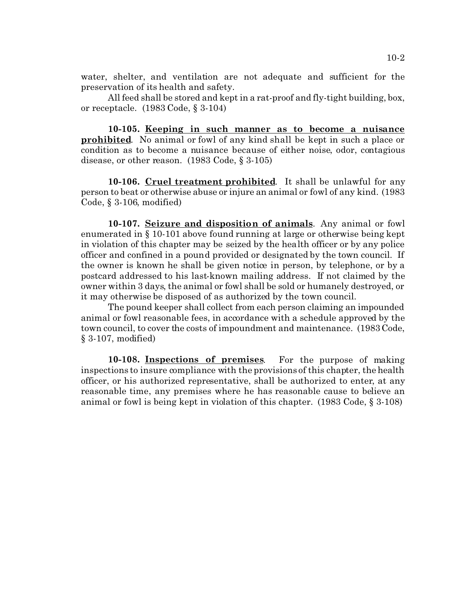water, shelter, and ventilation are not adequate and sufficient for the preservation of its health and safety.

All feed shall be stored and kept in a rat-proof and fly-tight building, box, or receptacle. (1983 Code, § 3-104)

**10-105. Keeping in such manner as to become a nuisance prohibited**. No animal or fowl of any kind shall be kept in such a place or condition as to become a nuisance because of either noise, odor, contagious disease, or other reason. (1983 Code, § 3-105)

**10-106. Cruel treatment prohibited**. It shall be unlawful for any person to beat or otherwise abuse or injure an animal or fowl of any kind. (1983 Code, § 3-106, modified)

**10-107. Seizure and disposition of animals**. Any animal or fowl enumerated in § 10-101 above found running at large or otherwise being kept in violation of this chapter may be seized by the health officer or by any police officer and confined in a pound provided or designated by the town council. If the owner is known he shall be given notice in person, by telephone, or by a postcard addressed to his last-known mailing address. If not claimed by the owner within 3 days, the animal or fowl shall be sold or humanely destroyed, or it may otherwise be disposed of as authorized by the town council.

The pound keeper shall collect from each person claiming an impounded animal or fowl reasonable fees, in accordance with a schedule approved by the town council, to cover the costs of impoundment and maintenance. (1983 Code, § 3-107, modified)

**10-108. Inspections of premises**. For the purpose of making inspections to insure compliance with the provisions of this chapter, the health officer, or his authorized representative, shall be authorized to enter, at any reasonable time, any premises where he has reasonable cause to believe an animal or fowl is being kept in violation of this chapter. (1983 Code, § 3-108)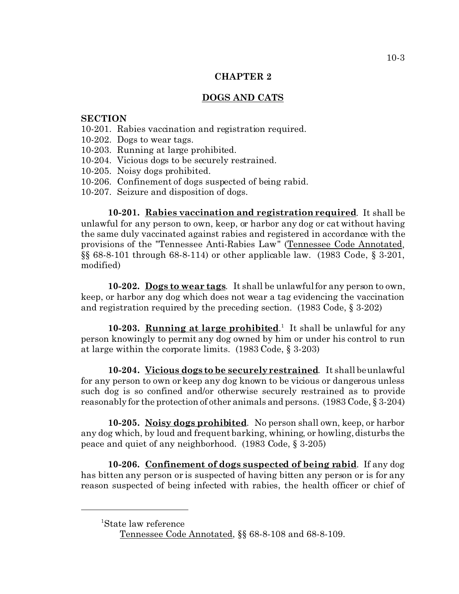### **CHAPTER 2**

# **DOGS AND CATS**

### **SECTION**

- 10-201. Rabies vaccination and registration required.
- 10-202. Dogs to wear tags.
- 10-203. Running at large prohibited.
- 10-204. Vicious dogs to be securely restrained.
- 10-205. Noisy dogs prohibited.
- 10-206. Confinement of dogs suspected of being rabid.
- 10-207. Seizure and disposition of dogs.

**10-201. Rabies vaccination and registration required**. It shall be unlawful for any person to own, keep, or harbor any dog or cat without having the same duly vaccinated against rabies and registered in accordance with the provisions of the "Tennessee Anti-Rabies Law" (Tennessee Code Annotated, §§ 68-8-101 through 68-8-114) or other applicable law. (1983 Code, § 3-201, modified)

**10-202. Dogs to wear tags**. It shall be unlawful for any person to own, keep, or harbor any dog which does not wear a tag evidencing the vaccination and registration required by the preceding section. (1983 Code, § 3-202)

10-203. **Running at large prohibited**.<sup>1</sup> It shall be unlawful for any person knowingly to permit any dog owned by him or under his control to run at large within the corporate limits. (1983 Code, § 3-203)

**10-204. Vicious dogs to be securely restrained**. It shall be unlawful for any person to own or keep any dog known to be vicious or dangerous unless such dog is so confined and/or otherwise securely restrained as to provide reasonably for the protection of other animals and persons. (1983 Code, § 3-204)

**10-205. Noisy dogs prohibited**. No person shall own, keep, or harbor any dog which, by loud and frequent barking, whining, or howling, disturbs the peace and quiet of any neighborhood. (1983 Code, § 3-205)

**10-206. Confinement of dogs suspected of being rabid**. If any dog has bitten any person or is suspected of having bitten any person or is for any reason suspected of being infected with rabies, the health officer or chief of

<sup>1</sup>State law reference

Tennessee Code Annotated, §§ 68-8-108 and 68-8-109.